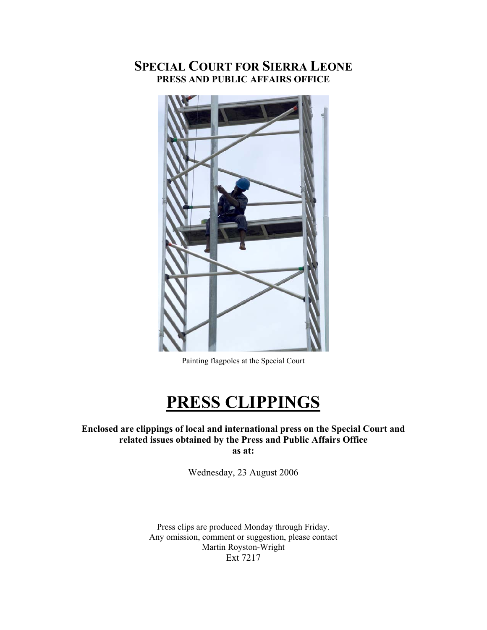# **SPECIAL COURT FOR SIERRA LEONE PRESS AND PUBLIC AFFAIRS OFFICE**



Painting flagpoles at the Special Court

# **PRESS CLIPPINGS**

### **Enclosed are clippings of local and international press on the Special Court and related issues obtained by the Press and Public Affairs Office as at:**

Wednesday, 23 August 2006

Press clips are produced Monday through Friday. Any omission, comment or suggestion, please contact Martin Royston-Wright Ext 7217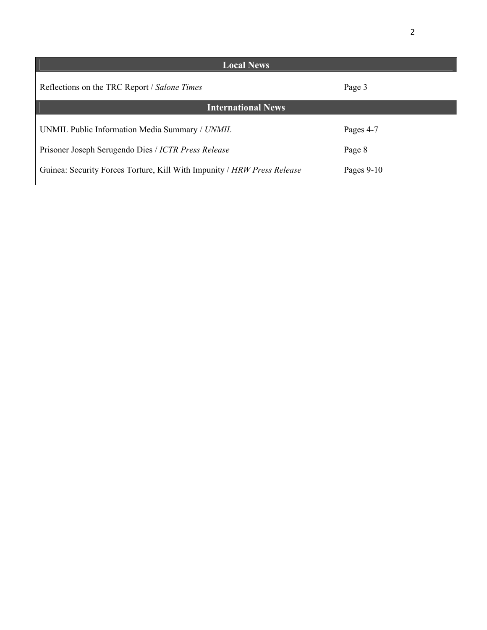| <b>Local News</b>                                                       |              |
|-------------------------------------------------------------------------|--------------|
| Reflections on the TRC Report / Salone Times                            | Page 3       |
| <b>International News</b>                                               |              |
| UNMIL Public Information Media Summary / UNMIL                          | Pages 4-7    |
| Prisoner Joseph Serugendo Dies / ICTR Press Release                     | Page 8       |
| Guinea: Security Forces Torture, Kill With Impunity / HRW Press Release | Pages $9-10$ |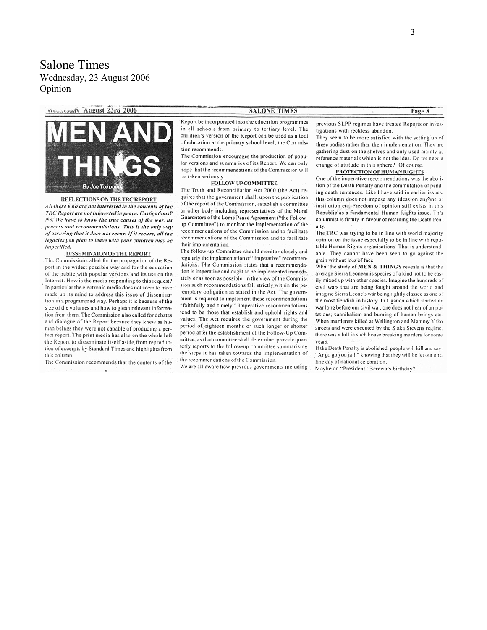Salone Times Wednesday, 23 August 2006 Opinion

Weisselay August 23rd 2006



#### REFLECTIONS ON THE TRC REPORT

All those who are not interested in the contents of the TRC Report are not interested in peace. Castigations? No. We have to know the true causes of the war, its process and recommendations. This is the only way of assuring that it does not recur. If it recurs, all the legacies you plan to leave with your children may be imperilled.

#### DISSEMINAION OF THE REPORT

The Commission called for the propagation of the Report in the widest possible way and for the education of the public with popular versions and its use on the Internet. How is the media responding to this request? In particular the electronic media does not seem to have made up its mind to address this issue of dissemination in a programmed way. Perhaps it is because of the size of the volumes and how to glean relevant information from them. The Commission also called for debates and dialogue of the Report because they knew as human beings they were not capable of producing a perfect report. The print media has also on the whole left the Report to disseminate itself aside from reproduction of excerpts by Standard Times and highlights from this column.

The Commission recommends that the contents of the

**SALONE TIMES** 

Report be incorporated into the education programmes in all schools from primary to tertiary level. The children's version of the Report can be used as a tool of education at the primary school level, the Commission recommends.

The Commission encourages the production of popular versions and summaries of its Report. We can only hope that the recommendations of the Commission will be taken seriously.

#### FOLLOW-UP COMMITTEE

The Truth and Reconciliation Act 2000 (the Act) requires that the government shall, upon the publication of the report of the Commission, establish a committee or other body including representatives of the Moral Guarantors of the Lome Peace Agreement ("the Followup Committee") to monitor the implementation of the recommendations of the Commission and to facilitate recommendations of the Commission and to facilitate their implementation.

The follow-up Committee should monitor closely and regularly the implementation of "imperative" recommendations. The Commission states that a recommendation is imperative and ought to be implemented immediately or as soon as possible. In the view of the Commission such recommendations fall strictly within the peremptory obligation as stated in the Act. The government is required to implement these recommendations "faithfully and timely." Imperative recommendations tend to be those that establish and uphold rights and values. The Act requires the government during the period of eighteen months or such longer or shorter period after the establishment of the Follow-Up Committee, as that committee shall determine, provide quarterly reports to the follow-up committee summarising the steps it has taken towards the implementation of the recommendations of the Commission.

We are all aware how previous governments including

previous SLPP regimes have treated Reports or investigations with reckless abandon.

They seem to be more satisfied with the setting up of these bodies rather than their implementation. They are gathering dust on the shelves and only used mainly as reference materials which is not the idea. Do we need a change of attitude in this sphere? Of course.

#### **PROTECTION OF HUMAN RIGHTS**

One of the imperative recommendations was the abolition of the Death Penalty and the commutation of pending death sentences. Like I have said in earlier issues. this column does not impose any ideas on anyone or institution etc. Freedom of opinion still exists in this Republic as a fundamental Human Rights issue. This columnist is firmly in favour of retaining the Death Penalty.

The TRC was trying to be in line with world majority opinion on the issue especially to be in line with reputable Human Rights organisations. That is understandable. They cannot have been seen to go against the grain without loss of face.

What the study of MEN & THINGS reveals is that the average Sierra Leonean is species of a kind not to be easily mixed up with other species. Imagine the hundreds of civil wars that are being fought around the world and imagine Sierra Leone's war being rightly classed as one of the most fiendish in history. In Uganda which started its war long before our civil war, one does not hear of amputations, cannibalism and burning of human beings etc. When murderers killed at Wellington and Mammy Yoko streets and were executed by the Siaka Stevens regime. there was a lull in such house breaking murders for some vears

If the Death Penalty is abolished, people will kill and say: "Ar go go you jail," knowing that they will be let out on a fine day of national celebration.

Maybe on "President" Berewa's birthday?

Page 8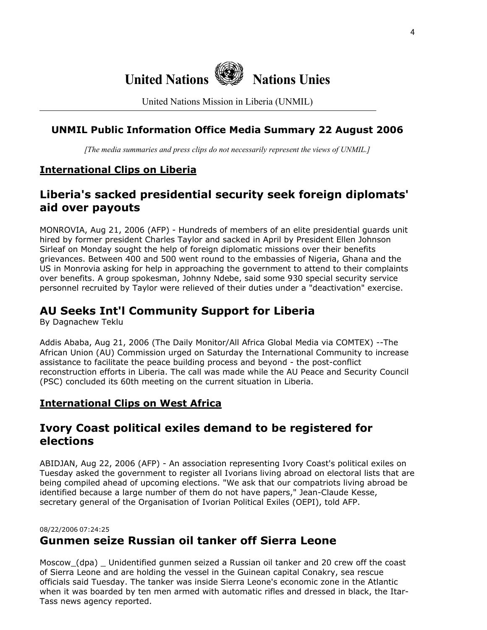

United Nations Mission in Liberia (UNMIL)

### **UNMIL Public Information Office Media Summary 22 August 2006**

*[The media summaries and press clips do not necessarily represent the views of UNMIL.]*

### **International Clips on Liberia**

# **Liberia's sacked presidential security seek foreign diplomats' aid over payouts**

MONROVIA, Aug 21, 2006 (AFP) - Hundreds of members of an elite presidential guards unit hired by former president Charles Taylor and sacked in April by President Ellen Johnson Sirleaf on Monday sought the help of foreign diplomatic missions over their benefits grievances. Between 400 and 500 went round to the embassies of Nigeria, Ghana and the US in Monrovia asking for help in approaching the government to attend to their complaints over benefits. A group spokesman, Johnny Ndebe, said some 930 special security service personnel recruited by Taylor were relieved of their duties under a "deactivation" exercise.

# **AU Seeks Int'l Community Support for Liberia**

By Dagnachew Teklu

Addis Ababa, Aug 21, 2006 (The Daily Monitor/All Africa Global Media via COMTEX) --The African Union (AU) Commission urged on Saturday the International Community to increase assistance to facilitate the peace building process and beyond - the post-conflict reconstruction efforts in Liberia. The call was made while the AU Peace and Security Council (PSC) concluded its 60th meeting on the current situation in Liberia.

### **International Clips on West Africa**

## **Ivory Coast political exiles demand to be registered for elections**

ABIDJAN, Aug 22, 2006 (AFP) - An association representing Ivory Coast's political exiles on Tuesday asked the government to register all Ivorians living abroad on electoral lists that are being compiled ahead of upcoming elections. "We ask that our compatriots living abroad be identified because a large number of them do not have papers," Jean-Claude Kesse, secretary general of the Organisation of Ivorian Political Exiles (OEPI), told AFP.

### 08/22/2006 07:24:25 **Gunmen seize Russian oil tanker off Sierra Leone**

Moscow (dpa) Unidentified gunmen seized a Russian oil tanker and 20 crew off the coast of Sierra Leone and are holding the vessel in the Guinean capital Conakry, sea rescue officials said Tuesday. The tanker was inside Sierra Leone's economic zone in the Atlantic when it was boarded by ten men armed with automatic rifles and dressed in black, the Itar-Tass news agency reported.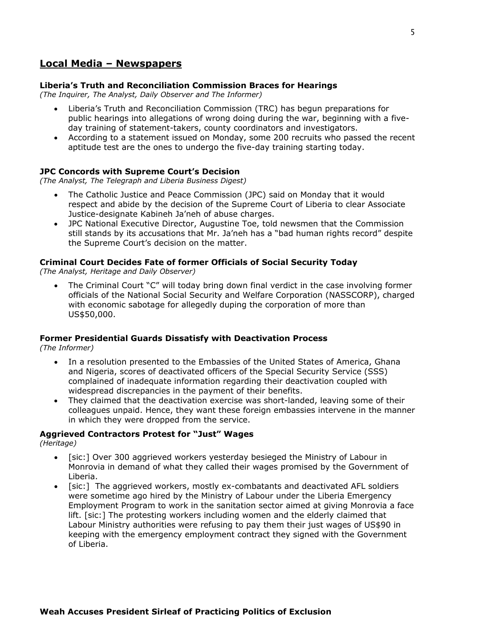### **Local Media – Newspapers**

#### **Liberia's Truth and Reconciliation Commission Braces for Hearings**

*(The Inquirer, The Analyst, Daily Observer and The Informer)*

- Liberia's Truth and Reconciliation Commission (TRC) has begun preparations for public hearings into allegations of wrong doing during the war, beginning with a fiveday training of statement-takers, county coordinators and investigators.
- According to a statement issued on Monday, some 200 recruits who passed the recent aptitude test are the ones to undergo the five-day training starting today.

#### **JPC Concords with Supreme Court's Decision**

*(The Analyst, The Telegraph and Liberia Business Digest)* 

- The Catholic Justice and Peace Commission (JPC) said on Monday that it would respect and abide by the decision of the Supreme Court of Liberia to clear Associate Justice-designate Kabineh Ja'neh of abuse charges.
- JPC National Executive Director, Augustine Toe, told newsmen that the Commission still stands by its accusations that Mr. Ja'neh has a "bad human rights record" despite the Supreme Court's decision on the matter.

#### **Criminal Court Decides Fate of former Officials of Social Security Today**

*(The Analyst, Heritage and Daily Observer)* 

• The Criminal Court "C" will today bring down final verdict in the case involving former officials of the National Social Security and Welfare Corporation (NASSCORP), charged with economic sabotage for allegedly duping the corporation of more than US\$50,000.

#### **Former Presidential Guards Dissatisfy with Deactivation Process**

*(The Informer)* 

- In a resolution presented to the Embassies of the United States of America, Ghana and Nigeria, scores of deactivated officers of the Special Security Service (SSS) complained of inadequate information regarding their deactivation coupled with widespread discrepancies in the payment of their benefits.
- They claimed that the deactivation exercise was short-landed, leaving some of their colleagues unpaid. Hence, they want these foreign embassies intervene in the manner in which they were dropped from the service.

#### **Aggrieved Contractors Protest for "Just" Wages**

*(Heritage)* 

- [sic:] Over 300 aggrieved workers yesterday besieged the Ministry of Labour in Monrovia in demand of what they called their wages promised by the Government of Liberia.
- [sic:] The aggrieved workers, mostly ex-combatants and deactivated AFL soldiers were sometime ago hired by the Ministry of Labour under the Liberia Emergency Employment Program to work in the sanitation sector aimed at giving Monrovia a face lift. [sic:] The protesting workers including women and the elderly claimed that Labour Ministry authorities were refusing to pay them their just wages of US\$90 in keeping with the emergency employment contract they signed with the Government of Liberia.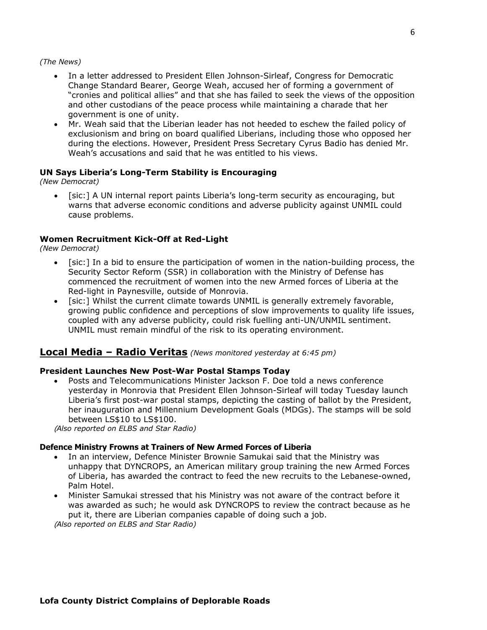#### *(The News)*

- In a letter addressed to President Ellen Johnson-Sirleaf, Congress for Democratic Change Standard Bearer, George Weah, accused her of forming a government of "cronies and political allies" and that she has failed to seek the views of the opposition and other custodians of the peace process while maintaining a charade that her government is one of unity.
- Mr. Weah said that the Liberian leader has not heeded to eschew the failed policy of exclusionism and bring on board qualified Liberians, including those who opposed her during the elections. However, President Press Secretary Cyrus Badio has denied Mr. Weah's accusations and said that he was entitled to his views.

#### **UN Says Liberia's Long-Term Stability is Encouraging**

*(New Democrat)* 

• [sic:] A UN internal report paints Liberia's long-term security as encouraging, but warns that adverse economic conditions and adverse publicity against UNMIL could cause problems.

#### **Women Recruitment Kick-Off at Red-Light**

*(New Democrat)* 

- [sic:] In a bid to ensure the participation of women in the nation-building process, the Security Sector Reform (SSR) in collaboration with the Ministry of Defense has commenced the recruitment of women into the new Armed forces of Liberia at the Red-light in Paynesville, outside of Monrovia.
- [sic:] Whilst the current climate towards UNMIL is generally extremely favorable, growing public confidence and perceptions of slow improvements to quality life issues, coupled with any adverse publicity, could risk fuelling anti-UN/UNMIL sentiment. UNMIL must remain mindful of the risk to its operating environment.

#### **Local Media – Radio Veritas** *(News monitored yesterday at 6:45 pm)*

#### **President Launches New Post-War Postal Stamps Today**

• Posts and Telecommunications Minister Jackson F. Doe told a news conference yesterday in Monrovia that President Ellen Johnson-Sirleaf will today Tuesday launch Liberia's first post-war postal stamps, depicting the casting of ballot by the President, her inauguration and Millennium Development Goals (MDGs). The stamps will be sold between LS\$10 to LS\$100.

(*Also reported on ELBS and Star Radio)*

#### **Defence Ministry Frowns at Trainers of New Armed Forces of Liberia**

- In an interview, Defence Minister Brownie Samukai said that the Ministry was unhappy that DYNCROPS, an American military group training the new Armed Forces of Liberia, has awarded the contract to feed the new recruits to the Lebanese-owned, Palm Hotel.
- Minister Samukai stressed that his Ministry was not aware of the contract before it was awarded as such; he would ask DYNCROPS to review the contract because as he put it, there are Liberian companies capable of doing such a job.

(*Also reported on ELBS and Star Radio)*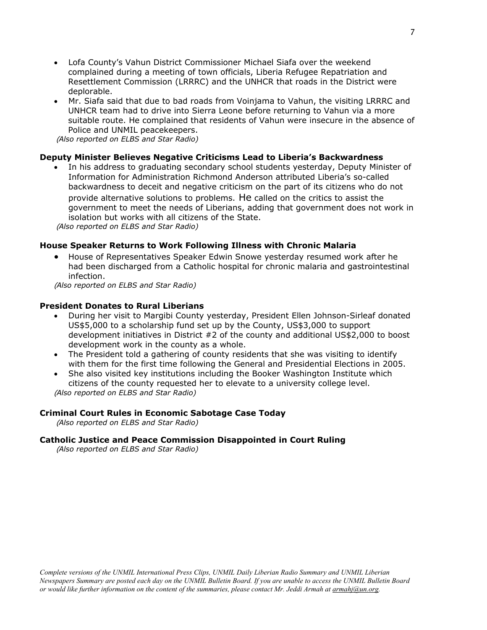- Lofa County's Vahun District Commissioner Michael Siafa over the weekend complained during a meeting of town officials, Liberia Refugee Repatriation and Resettlement Commission (LRRRC) and the UNHCR that roads in the District were deplorable.
- Mr. Siafa said that due to bad roads from Voinjama to Vahun, the visiting LRRRC and UNHCR team had to drive into Sierra Leone before returning to Vahun via a more suitable route. He complained that residents of Vahun were insecure in the absence of Police and UNMIL peacekeepers.

(*Also reported on ELBS and Star Radio)*

#### **Deputy Minister Believes Negative Criticisms Lead to Liberia's Backwardness**

• In his address to graduating secondary school students yesterday, Deputy Minister of Information for Administration Richmond Anderson attributed Liberia's so-called backwardness to deceit and negative criticism on the part of its citizens who do not provide alternative solutions to problems. He called on the critics to assist the government to meet the needs of Liberians, adding that government does not work in isolation but works with all citizens of the State.

(*Also reported on ELBS and Star Radio)*

#### **House Speaker Returns to Work Following Illness with Chronic Malaria**

• House of Representatives Speaker Edwin Snowe yesterday resumed work after he had been discharged from a Catholic hospital for chronic malaria and gastrointestinal infection.

(*Also reported on ELBS and Star Radio)*

#### **President Donates to Rural Liberians**

- During her visit to Margibi County yesterday, President Ellen Johnson-Sirleaf donated US\$5,000 to a scholarship fund set up by the County, US\$3,000 to support development initiatives in District #2 of the county and additional US\$2,000 to boost development work in the county as a whole.
- The President told a gathering of county residents that she was visiting to identify with them for the first time following the General and Presidential Elections in 2005.
- She also visited key institutions including the Booker Washington Institute which citizens of the county requested her to elevate to a university college level. (*Also reported on ELBS and Star Radio)*

#### **Criminal Court Rules in Economic Sabotage Case Today**

(*Also reported on ELBS and Star Radio)*

#### **Catholic Justice and Peace Commission Disappointed in Court Ruling**

(*Also reported on ELBS and Star Radio)*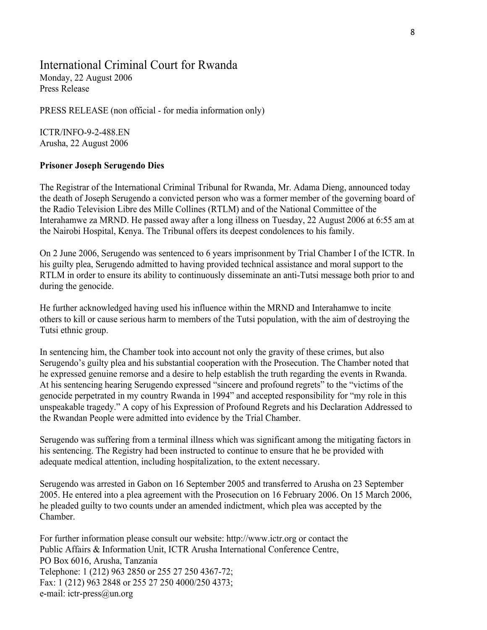# International Criminal Court for Rwanda

Monday, 22 August 2006 Press Release

PRESS RELEASE (non official - for media information only)

ICTR/INFO-9-2-488.EN Arusha, 22 August 2006

### **Prisoner Joseph Serugendo Dies**

The Registrar of the International Criminal Tribunal for Rwanda, Mr. Adama Dieng, announced today the death of Joseph Serugendo a convicted person who was a former member of the governing board of the Radio Television Libre des Mille Collines (RTLM) and of the National Committee of the Interahamwe za MRND. He passed away after a long illness on Tuesday, 22 August 2006 at 6:55 am at the Nairobi Hospital, Kenya. The Tribunal offers its deepest condolences to his family.

On 2 June 2006, Serugendo was sentenced to 6 years imprisonment by Trial Chamber I of the ICTR. In his guilty plea, Serugendo admitted to having provided technical assistance and moral support to the RTLM in order to ensure its ability to continuously disseminate an anti-Tutsi message both prior to and during the genocide.

He further acknowledged having used his influence within the MRND and Interahamwe to incite others to kill or cause serious harm to members of the Tutsi population, with the aim of destroying the Tutsi ethnic group.

In sentencing him, the Chamber took into account not only the gravity of these crimes, but also Serugendo's guilty plea and his substantial cooperation with the Prosecution. The Chamber noted that he expressed genuine remorse and a desire to help establish the truth regarding the events in Rwanda. At his sentencing hearing Serugendo expressed "sincere and profound regrets" to the "victims of the genocide perpetrated in my country Rwanda in 1994" and accepted responsibility for "my role in this unspeakable tragedy." A copy of his Expression of Profound Regrets and his Declaration Addressed to the Rwandan People were admitted into evidence by the Trial Chamber.

Serugendo was suffering from a terminal illness which was significant among the mitigating factors in his sentencing. The Registry had been instructed to continue to ensure that he be provided with adequate medical attention, including hospitalization, to the extent necessary.

Serugendo was arrested in Gabon on 16 September 2005 and transferred to Arusha on 23 September 2005. He entered into a plea agreement with the Prosecution on 16 February 2006. On 15 March 2006, he pleaded guilty to two counts under an amended indictment, which plea was accepted by the Chamber.

For further information please consult our website: http://www.ictr.org or contact the Public Affairs & Information Unit, ICTR Arusha International Conference Centre, PO Box 6016, Arusha, Tanzania Telephone: 1 (212) 963 2850 or 255 27 250 4367-72; Fax: 1 (212) 963 2848 or 255 27 250 4000/250 4373; e-mail: ictr-press@un.org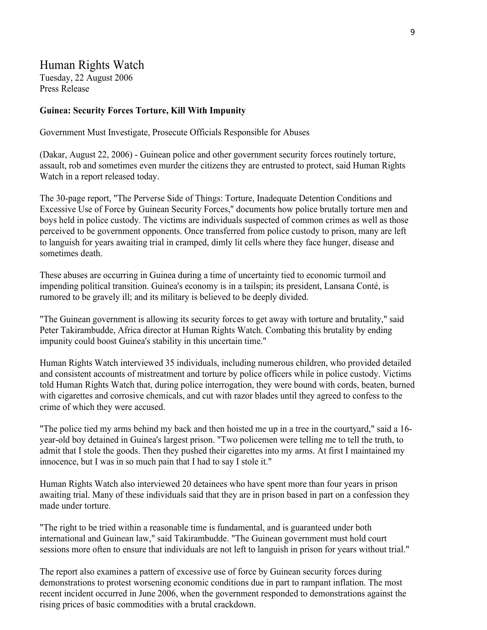### Human Rights Watch Tuesday, 22 August 2006 Press Release

#### **Guinea: Security Forces Torture, Kill With Impunity**

Government Must Investigate, Prosecute Officials Responsible for Abuses

(Dakar, August 22, 2006) - Guinean police and other government security forces routinely torture, assault, rob and sometimes even murder the citizens they are entrusted to protect, said Human Rights Watch in a report released today.

The 30-page report, "The Perverse Side of Things: Torture, Inadequate Detention Conditions and Excessive Use of Force by Guinean Security Forces," documents how police brutally torture men and boys held in police custody. The victims are individuals suspected of common crimes as well as those perceived to be government opponents. Once transferred from police custody to prison, many are left to languish for years awaiting trial in cramped, dimly lit cells where they face hunger, disease and sometimes death.

These abuses are occurring in Guinea during a time of uncertainty tied to economic turmoil and impending political transition. Guinea's economy is in a tailspin; its president, Lansana Conté, is rumored to be gravely ill; and its military is believed to be deeply divided.

"The Guinean government is allowing its security forces to get away with torture and brutality," said Peter Takirambudde, Africa director at Human Rights Watch. Combating this brutality by ending impunity could boost Guinea's stability in this uncertain time."

Human Rights Watch interviewed 35 individuals, including numerous children, who provided detailed and consistent accounts of mistreatment and torture by police officers while in police custody. Victims told Human Rights Watch that, during police interrogation, they were bound with cords, beaten, burned with cigarettes and corrosive chemicals, and cut with razor blades until they agreed to confess to the crime of which they were accused.

"The police tied my arms behind my back and then hoisted me up in a tree in the courtyard," said a 16 year-old boy detained in Guinea's largest prison. "Two policemen were telling me to tell the truth, to admit that I stole the goods. Then they pushed their cigarettes into my arms. At first I maintained my innocence, but I was in so much pain that I had to say I stole it."

Human Rights Watch also interviewed 20 detainees who have spent more than four years in prison awaiting trial. Many of these individuals said that they are in prison based in part on a confession they made under torture.

"The right to be tried within a reasonable time is fundamental, and is guaranteed under both international and Guinean law," said Takirambudde. "The Guinean government must hold court sessions more often to ensure that individuals are not left to languish in prison for years without trial."

The report also examines a pattern of excessive use of force by Guinean security forces during demonstrations to protest worsening economic conditions due in part to rampant inflation. The most recent incident occurred in June 2006, when the government responded to demonstrations against the rising prices of basic commodities with a brutal crackdown.